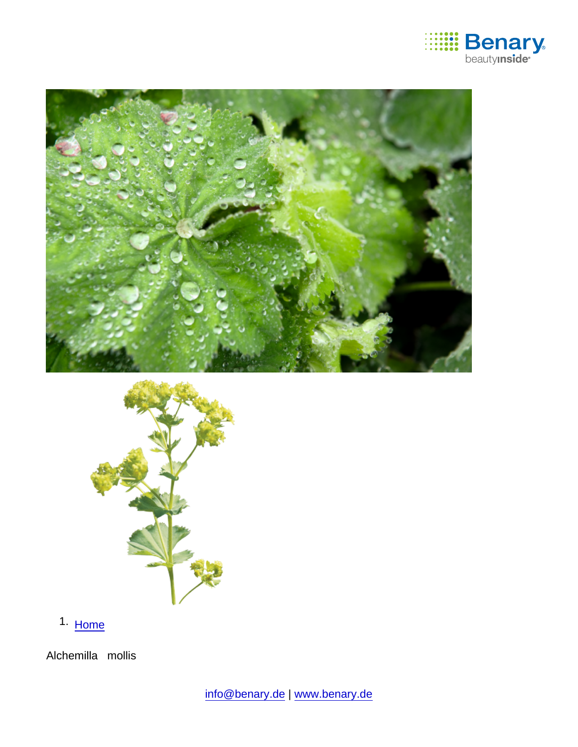

1. [Home](https://www.benary.com/)

Alchemilla mollis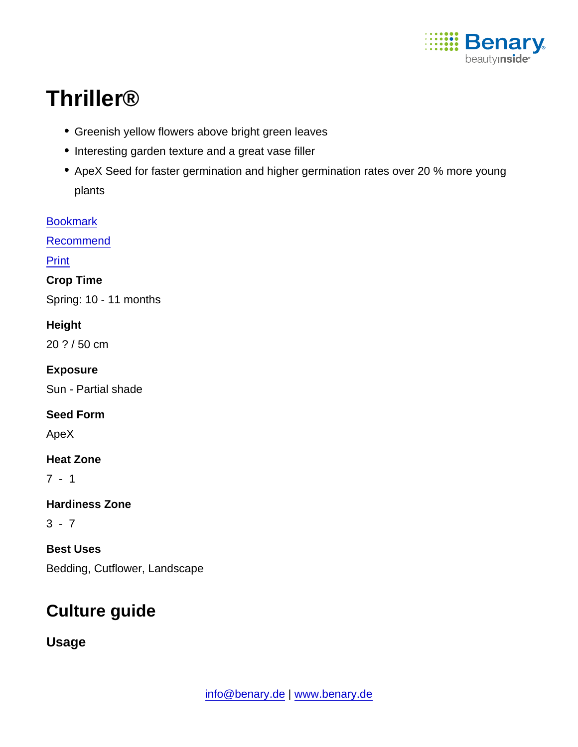

# Thriller®

- Greenish yellow flowers above bright green leaves
- Interesting garden texture and a great vase filler
- ApeX Seed for faster germination and higher germination rates over 20 % more young plants

**[Bookmark](https://www.benary.com/flag/flag/product/5561?destination&token=rCmfCMCTvH4z0bCVkxf5kJiLlus74ZJFJ6hOPVfXVgI)** 

[Recommend](mailto:?subject=Benary Alchemilla mollis &body=https://www.benary.com/print/pdf/node/5561)

Print

Crop Time

Spring: 10 - 11 months

Height

20 ? / 50 cm

Exposure

Sun - Partial shade

Seed Form

ApeX

Heat Zone

7 - 1

Hardiness Zone

 $3 - 7$ 

Best Uses Bedding, Cutflower, Landscape

## Culture guide

Usage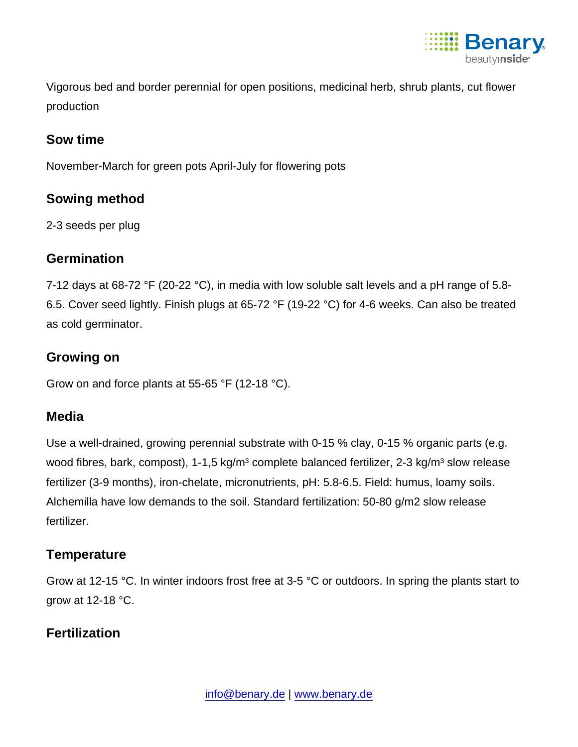

Vigorous bed and border perennial for open positions, medicinal herb, shrub plants, cut flower production

#### Sow time

November-March for green pots April-July for flowering pots

#### Sowing method

2-3 seeds per plug

#### **Germination**

7-12 days at 68-72 °F (20-22 °C), in media with low soluble salt levels and a pH range of 5.8- 6.5. Cover seed lightly. Finish plugs at 65-72 °F (19-22 °C) for 4-6 weeks. Can also be treated as cold germinator.

#### Growing on

Grow on and force plants at 55-65 °F (12-18 °C).

### Media

Use a well-drained, growing perennial substrate with 0-15 % clay, 0-15 % organic parts (e.g. wood fibres, bark, compost), 1-1,5 kg/m<sup>3</sup> complete balanced fertilizer, 2-3 kg/m<sup>3</sup> slow release fertilizer (3-9 months), iron-chelate, micronutrients, pH: 5.8-6.5. Field: humus, loamy soils. Alchemilla have low demands to the soil. Standard fertilization: 50-80 g/m2 slow release fertilizer.

### **Temperature**

Grow at 12-15 °C. In winter indoors frost free at 3-5 °C or outdoors. In spring the plants start to grow at 12-18 °C.

### **Fertilization**